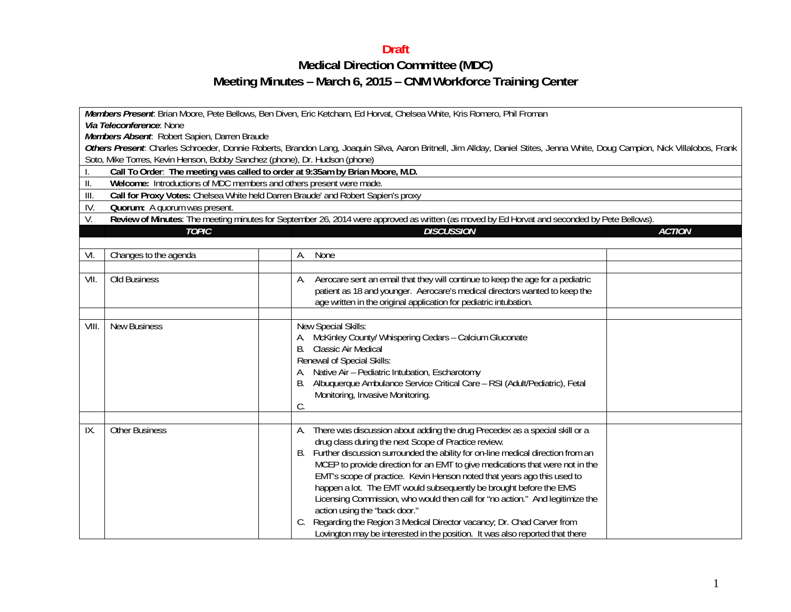## **Draft**

## **Medical Direction Committee (MDC) Meeting Minutes – March 6, 2015 – CNM Workforce Training Center**

| Members Present. Brian Moore, Pete Bellows, Ben Diven, Eric Ketcham, Ed Horvat, Chelsea White, Kris Romero, Phil Froman<br>Via Teleconference: None<br>Members Absent. Robert Sapien, Darren Braude<br>Others Present. Charles Schroeder, Donnie Roberts, Brandon Lang, Joaquin Silva, Aaron Britnell, Jim Allday, Daniel Stites, Jenna White, Doug Campion, Nick Villalobos, Frank<br>Soto, Mike Torres, Kevin Henson, Bobby Sanchez (phone), Dr. Hudson (phone)<br>Call To Order: The meeting was called to order at 9:35am by Brian Moore, M.D.<br>Welcome: Introductions of MDC members and others present were made.<br>$\parallel$<br>Call for Proxy Votes: Chelsea White held Darren Braude' and Robert Sapien's proxy<br>III.<br>IV.<br>Quorum: A quorum was present. |                       |                                                                                                                                                                                                                                                                                                                                                                                                                                                                                                                                                                                                                                                                                                                                                 |  |  |  |  |  |
|-------------------------------------------------------------------------------------------------------------------------------------------------------------------------------------------------------------------------------------------------------------------------------------------------------------------------------------------------------------------------------------------------------------------------------------------------------------------------------------------------------------------------------------------------------------------------------------------------------------------------------------------------------------------------------------------------------------------------------------------------------------------------------|-----------------------|-------------------------------------------------------------------------------------------------------------------------------------------------------------------------------------------------------------------------------------------------------------------------------------------------------------------------------------------------------------------------------------------------------------------------------------------------------------------------------------------------------------------------------------------------------------------------------------------------------------------------------------------------------------------------------------------------------------------------------------------------|--|--|--|--|--|
| Review of Minutes: The meeting minutes for September 26, 2014 were approved as written (as moved by Ed Horvat and seconded by Pete Bellows).<br>V.<br><b>TOPIC</b><br><b>DISCUSSION</b><br><b>ACTION</b>                                                                                                                                                                                                                                                                                                                                                                                                                                                                                                                                                                      |                       |                                                                                                                                                                                                                                                                                                                                                                                                                                                                                                                                                                                                                                                                                                                                                 |  |  |  |  |  |
|                                                                                                                                                                                                                                                                                                                                                                                                                                                                                                                                                                                                                                                                                                                                                                               |                       |                                                                                                                                                                                                                                                                                                                                                                                                                                                                                                                                                                                                                                                                                                                                                 |  |  |  |  |  |
| VI.                                                                                                                                                                                                                                                                                                                                                                                                                                                                                                                                                                                                                                                                                                                                                                           | Changes to the agenda | None<br>А.                                                                                                                                                                                                                                                                                                                                                                                                                                                                                                                                                                                                                                                                                                                                      |  |  |  |  |  |
|                                                                                                                                                                                                                                                                                                                                                                                                                                                                                                                                                                                                                                                                                                                                                                               |                       |                                                                                                                                                                                                                                                                                                                                                                                                                                                                                                                                                                                                                                                                                                                                                 |  |  |  |  |  |
| VII.                                                                                                                                                                                                                                                                                                                                                                                                                                                                                                                                                                                                                                                                                                                                                                          | Old Business          | Aerocare sent an email that they will continue to keep the age for a pediatric<br>А.<br>patient as 18 and younger. Aerocare's medical directors wanted to keep the<br>age written in the original application for pediatric intubation.                                                                                                                                                                                                                                                                                                                                                                                                                                                                                                         |  |  |  |  |  |
| VIII.                                                                                                                                                                                                                                                                                                                                                                                                                                                                                                                                                                                                                                                                                                                                                                         | <b>New Business</b>   | New Special Skills:<br>A. McKinley County/ Whispering Cedars - Calcium Gluconate<br><b>Classic Air Medical</b><br>В.<br>Renewal of Special Skills:<br>Native Air - Pediatric Intubation, Escharotomy<br>Albuquerque Ambulance Service Critical Care - RSI (Adult/Pediatric), Fetal<br>В.<br>Monitoring, Invasive Monitoring.<br>C.                                                                                                                                                                                                                                                                                                                                                                                                              |  |  |  |  |  |
| IX.                                                                                                                                                                                                                                                                                                                                                                                                                                                                                                                                                                                                                                                                                                                                                                           | <b>Other Business</b> | There was discussion about adding the drug Precedex as a special skill or a<br>А.<br>drug class during the next Scope of Practice review.<br>Further discussion surrounded the ability for on-line medical direction from an<br>В.<br>MCEP to provide direction for an EMT to give medications that were not in the<br>EMT's scope of practice. Kevin Henson noted that years ago this used to<br>happen a lot. The EMT would subsequently be brought before the EMS<br>Licensing Commission, who would then call for "no action." And legitimize the<br>action using the "back door."<br>Regarding the Region 3 Medical Director vacancy; Dr. Chad Carver from<br>Lovington may be interested in the position. It was also reported that there |  |  |  |  |  |